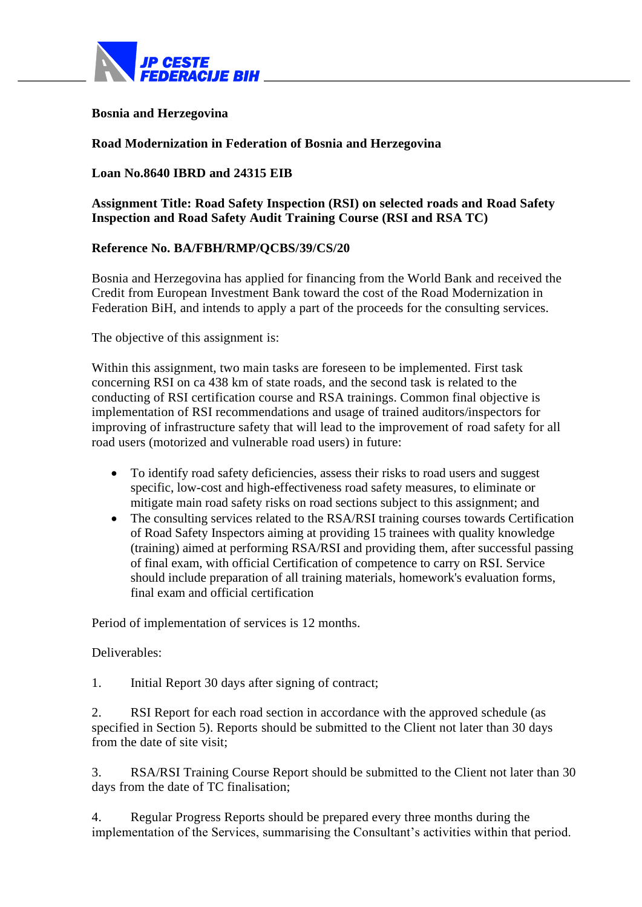

## **Bosnia and Herzegovina**

## **Road Modernization in Federation of Bosnia and Herzegovina**

## **Loan No.8640 IBRD and 24315 EIB**

**Assignment Title: Road Safety Inspection (RSI) on selected roads and Road Safety Inspection and Road Safety Audit Training Course (RSI and RSA TC)**

## **Reference No. BA/FBH/RMP/QCBS/39/CS/20**

Bosnia and Herzegovina has applied for financing from the World Bank and received the Credit from European Investment Bank toward the cost of the Road Modernization in Federation BiH, and intends to apply a part of the proceeds for the consulting services.

The objective of this assignment is:

Within this assignment, two main tasks are foreseen to be implemented. First task concerning RSI on ca 438 km of state roads, and the second task is related to the conducting of RSI certification course and RSA trainings. Common final objective is implementation of RSI recommendations and usage of trained auditors/inspectors for improving of infrastructure safety that will lead to the improvement of road safety for all road users (motorized and vulnerable road users) in future:

- To identify road safety deficiencies, assess their risks to road users and suggest specific, low-cost and high-effectiveness road safety measures, to eliminate or mitigate main road safety risks on road sections subject to this assignment; and
- The consulting services related to the RSA/RSI training courses towards Certification of Road Safety Inspectors aiming at providing 15 trainees with quality knowledge (training) aimed at performing RSA/RSI and providing them, after successful passing of final exam, with official Certification of competence to carry on RSI. Service should include preparation of all training materials, homework's evaluation forms, final exam and official certification

Period of implementation of services is 12 months.

Deliverables:

1. Initial Report 30 days after signing of contract;

2. RSI Report for each road section in accordance with the approved schedule (as specified in Section 5). Reports should be submitted to the Client not later than 30 days from the date of site visit;

3. RSA/RSI Training Course Report should be submitted to the Client not later than 30 days from the date of TC finalisation;

4. Regular Progress Reports should be prepared every three months during the implementation of the Services, summarising the Consultant's activities within that period.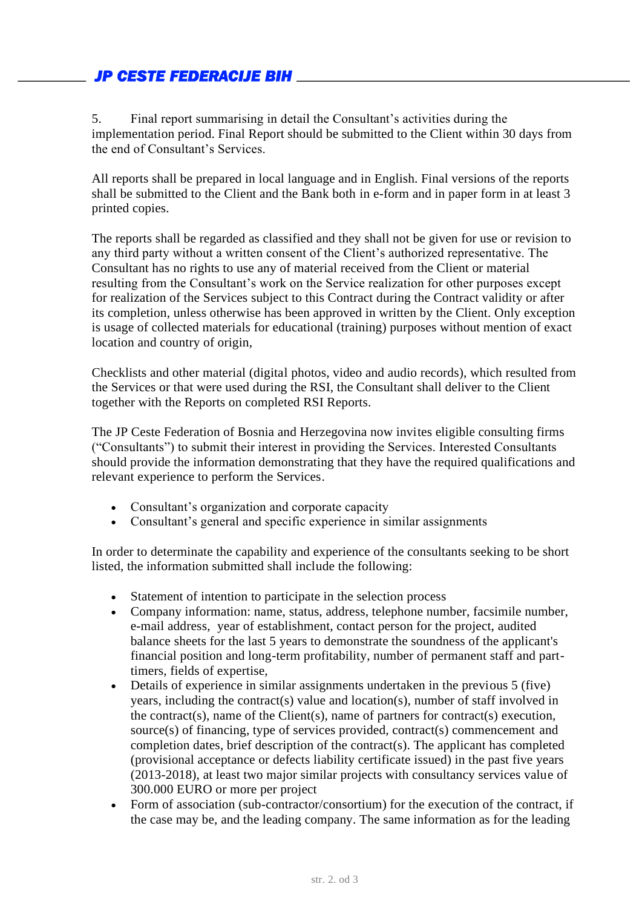5. Final report summarising in detail the Consultant's activities during the implementation period. Final Report should be submitted to the Client within 30 days from the end of Consultant's Services.

All reports shall be prepared in local language and in English. Final versions of the reports shall be submitted to the Client and the Bank both in e-form and in paper form in at least 3 printed copies.

The reports shall be regarded as classified and they shall not be given for use or revision to any third party without a written consent of the Client's authorized representative. The Consultant has no rights to use any of material received from the Client or material resulting from the Consultant's work on the Service realization for other purposes except for realization of the Services subject to this Contract during the Contract validity or after its completion, unless otherwise has been approved in written by the Client. Only exception is usage of collected materials for educational (training) purposes without mention of exact location and country of origin,

Checklists and other material (digital photos, video and audio records), which resulted from the Services or that were used during the RSI, the Consultant shall deliver to the Client together with the Reports on completed RSI Reports.

The JP Ceste Federation of Bosnia and Herzegovina now invites eligible consulting firms ("Consultants") to submit their interest in providing the Services. Interested Consultants should provide the information demonstrating that they have the required qualifications and relevant experience to perform the Services.

- Consultant's organization and corporate capacity
- Consultant's general and specific experience in similar assignments

In order to determinate the capability and experience of the consultants seeking to be short listed, the information submitted shall include the following:

- Statement of intention to participate in the selection process
- Company information: name, status, address, telephone number, facsimile number, e-mail address, year of establishment, contact person for the project, audited balance sheets for the last 5 years to demonstrate the soundness of the applicant's financial position and long-term profitability, number of permanent staff and parttimers, fields of expertise,
- Details of experience in similar assignments undertaken in the previous 5 (five) years, including the contract(s) value and location(s), number of staff involved in the contract(s), name of the Client(s), name of partners for contract(s) execution, source(s) of financing, type of services provided, contract(s) commencement and completion dates, brief description of the contract(s). The applicant has completed (provisional acceptance or defects liability certificate issued) in the past five years (2013-2018), at least two major similar projects with consultancy services value of 300.000 EURO or more per project
- Form of association (sub-contractor/consortium) for the execution of the contract, if the case may be, and the leading company. The same information as for the leading